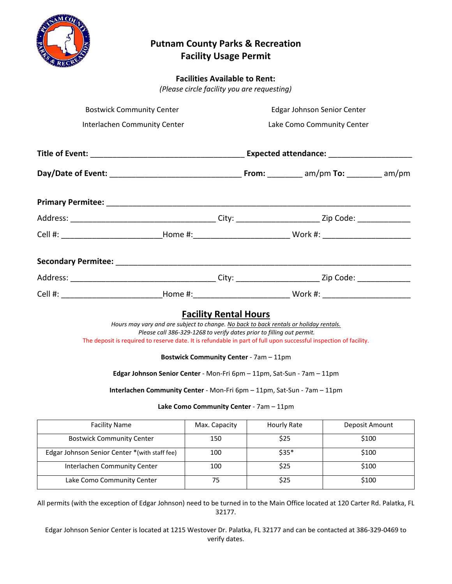

# **Putnam County Parks & Recreation Facility Usage Permit**

## **Facilities Available to Rent:**

*(Please circle facility you are requesting)*

| <b>Bostwick Community Center</b>              | Edgar Johnson Senior Center<br>Lake Como Community Center                                                                                                                                                                                                                                                                                                       |                                                                                                                                                 |                                                                                                                |  |                |
|-----------------------------------------------|-----------------------------------------------------------------------------------------------------------------------------------------------------------------------------------------------------------------------------------------------------------------------------------------------------------------------------------------------------------------|-------------------------------------------------------------------------------------------------------------------------------------------------|----------------------------------------------------------------------------------------------------------------|--|----------------|
| Interlachen Community Center                  |                                                                                                                                                                                                                                                                                                                                                                 |                                                                                                                                                 |                                                                                                                |  |                |
|                                               |                                                                                                                                                                                                                                                                                                                                                                 |                                                                                                                                                 |                                                                                                                |  |                |
|                                               |                                                                                                                                                                                                                                                                                                                                                                 |                                                                                                                                                 |                                                                                                                |  |                |
|                                               |                                                                                                                                                                                                                                                                                                                                                                 |                                                                                                                                                 |                                                                                                                |  |                |
|                                               |                                                                                                                                                                                                                                                                                                                                                                 |                                                                                                                                                 |                                                                                                                |  |                |
|                                               |                                                                                                                                                                                                                                                                                                                                                                 |                                                                                                                                                 | Cell #: ________________________________Home #:_________________________________Work #: ______________________ |  |                |
|                                               |                                                                                                                                                                                                                                                                                                                                                                 |                                                                                                                                                 |                                                                                                                |  |                |
|                                               |                                                                                                                                                                                                                                                                                                                                                                 |                                                                                                                                                 |                                                                                                                |  |                |
|                                               |                                                                                                                                                                                                                                                                                                                                                                 |                                                                                                                                                 |                                                                                                                |  |                |
|                                               | Hours may vary and are subject to change. No back to back rentals or holiday rentals.<br>The deposit is required to reserve date. It is refundable in part of full upon successful inspection of facility.<br>Edgar Johnson Senior Center - Mon-Fri 6pm - 11pm, Sat-Sun - 7am - 11pm<br>Interlachen Community Center - Mon-Fri 6pm - 11pm, Sat-Sun - 7am - 11pm | <b>Facility Rental Hours</b><br>Please call 386-329-1268 to verify dates prior to filling out permit.<br>Bostwick Community Center - 7am - 11pm |                                                                                                                |  |                |
|                                               |                                                                                                                                                                                                                                                                                                                                                                 | Lake Como Community Center - 7am - 11pm                                                                                                         |                                                                                                                |  |                |
| <b>Facility Name</b>                          |                                                                                                                                                                                                                                                                                                                                                                 | Max. Capacity                                                                                                                                   | Hourly Rate                                                                                                    |  | Deposit Amount |
| <b>Bostwick Community Center</b>              |                                                                                                                                                                                                                                                                                                                                                                 | 150                                                                                                                                             | \$25                                                                                                           |  | \$100          |
| Edgar Johnson Senior Center *(with staff fee) |                                                                                                                                                                                                                                                                                                                                                                 | 100                                                                                                                                             | $$35*$                                                                                                         |  | \$100          |
| Interlachen Community Center                  |                                                                                                                                                                                                                                                                                                                                                                 | 100                                                                                                                                             | \$25                                                                                                           |  | \$100          |
| Lake Como Community Center                    |                                                                                                                                                                                                                                                                                                                                                                 | 75                                                                                                                                              | \$25                                                                                                           |  | \$100          |

All permits (with the exception of Edgar Johnson) need to be turned in to the Main Office located at 120 Carter Rd. Palatka, FL 32177.

Edgar Johnson Senior Center is located at 1215 Westover Dr. Palatka, FL 32177 and can be contacted at 386-329-0469 to verify dates.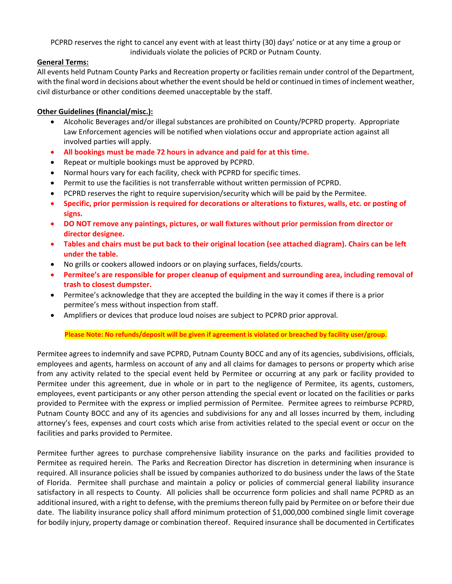PCPRD reserves the right to cancel any event with at least thirty (30) days' notice or at any time a group or individuals violate the policies of PCRD or Putnam County.

### **General Terms:**

All events held Putnam County Parks and Recreation property or facilities remain under control of the Department, with the final word in decisions about whether the event should be held or continued in times of inclement weather, civil disturbance or other conditions deemed unacceptable by the staff.

### **Other Guidelines (financial/misc.):**

- Alcoholic Beverages and/or illegal substances are prohibited on County/PCPRD property. Appropriate Law Enforcement agencies will be notified when violations occur and appropriate action against all involved parties will apply.
- **All bookings must be made 72 hours in advance and paid for at this time.**
- Repeat or multiple bookings must be approved by PCPRD.
- Normal hours vary for each facility, check with PCPRD for specific times.
- Permit to use the facilities is not transferrable without written permission of PCPRD.
- PCPRD reserves the right to require supervision/security which will be paid by the Permitee.
- **Specific, prior permission is required for decorations or alterations to fixtures, walls, etc. or posting of signs.**
- **DO NOT remove any paintings, pictures, or wall fixtures without prior permission from director or director designee.**
- **Tables and chairs must be put back to their original location (see attached diagram). Chairs can be left under the table.**
- No grills or cookers allowed indoors or on playing surfaces, fields/courts.
- **Permitee's are responsible for proper cleanup of equipment and surrounding area, including removal of trash to closest dumpster.**
- Permitee's acknowledge that they are accepted the building in the way it comes if there is a prior permitee's mess without inspection from staff.
- Amplifiers or devices that produce loud noises are subject to PCPRD prior approval.

#### **Please Note: No refunds/deposit will be given if agreement is violated or breached by facility user/group.**

Permitee agrees to indemnify and save PCPRD, Putnam County BOCC and any of its agencies, subdivisions, officials, employees and agents, harmless on account of any and all claims for damages to persons or property which arise from any activity related to the special event held by Permitee or occurring at any park or facility provided to Permitee under this agreement, due in whole or in part to the negligence of Permitee, its agents, customers, employees, event participants or any other person attending the special event or located on the facilities or parks provided to Permitee with the express or implied permission of Permitee. Permitee agrees to reimburse PCPRD, Putnam County BOCC and any of its agencies and subdivisions for any and all losses incurred by them, including attorney's fees, expenses and court costs which arise from activities related to the special event or occur on the facilities and parks provided to Permitee.

Permitee further agrees to purchase comprehensive liability insurance on the parks and facilities provided to Permitee as required herein. The Parks and Recreation Director has discretion in determining when insurance is required. All insurance policies shall be issued by companies authorized to do business under the laws of the State of Florida. Permitee shall purchase and maintain a policy or policies of commercial general liability insurance satisfactory in all respects to County. All policies shall be occurrence form policies and shall name PCPRD as an additional insured, with a right to defense, with the premiums thereon fully paid by Permitee on or before their due date. The liability insurance policy shall afford minimum protection of \$1,000,000 combined single limit coverage for bodily injury, property damage or combination thereof. Required insurance shall be documented in Certificates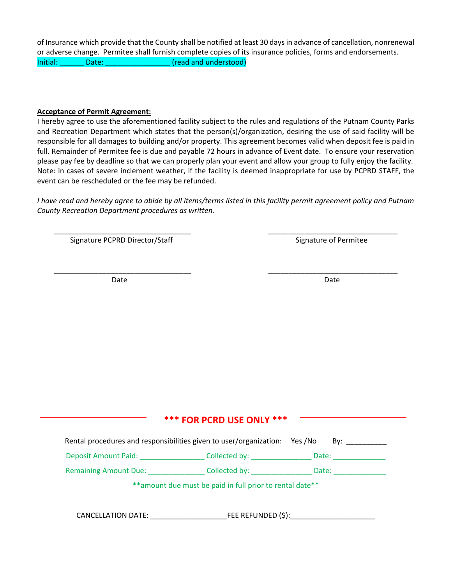of Insurance which provide that the County shall be notified at least 30 days in advance of cancellation, nonrenewal or adverse change. Permitee shall furnish complete copies of its insurance policies, forms and endorsements. Initial: Date: Date: Containing the Manual Charles (read and understood)

#### **Acceptance of Permit Agreement:**

I hereby agree to use the aforementioned facility subject to the rules and regulations of the Putnam County Parks and Recreation Department which states that the person(s)/organization, desiring the use of said facility will be responsible for all damages to building and/or property. This agreement becomes valid when deposit fee is paid in full. Remainder of Permitee fee is due and payable 72 hours in advance of Event date. To ensure your reservation please pay fee by deadline so that we can properly plan your event and allow your group to fully enjoy the facility. Note: in cases of severe inclement weather, if the facility is deemed inappropriate for use by PCPRD STAFF, the event can be rescheduled or the fee may be refunded.

*I have read and hereby agree to abide by all items/terms listed in this facility permit agreement policy and Putnam County Recreation Department procedures as written.*

\_\_\_\_\_\_\_\_\_\_\_\_\_\_\_\_\_\_\_\_\_\_\_\_\_\_\_\_\_\_\_\_\_\_ \_\_\_\_\_\_\_\_\_\_\_\_\_\_\_\_\_\_\_\_\_\_\_\_\_\_\_\_\_\_\_\_

\_\_\_\_\_\_\_\_\_\_\_\_\_\_\_\_\_\_\_\_\_\_\_\_\_\_\_\_\_\_\_\_\_\_ \_\_\_\_\_\_\_\_\_\_\_\_\_\_\_\_\_\_\_\_\_\_\_\_\_\_\_\_\_\_\_\_

Signature PCPRD Director/Staff Signature of Permitee

Date **Date** Date **Date** Date **Date** Date **Date** 

## **\*\*\* FOR PCRD USE ONLY \*\*\***

| Rental procedures and responsibilities given to user/organization: Yes/No |                                                           | By: $\qquad \qquad \qquad$ |  |
|---------------------------------------------------------------------------|-----------------------------------------------------------|----------------------------|--|
| Deposit Amount Paid: National Property of the Contractor                  | Collected by: North Collected by:                         | Date:                      |  |
| <b>Remaining Amount Due:</b>                                              | Collected by:                                             | Date:                      |  |
|                                                                           | ** amount due must be paid in full prior to rental date** |                            |  |
| <b>CANCELLATION DATE:</b>                                                 | FEE REFUNDED (\$):                                        |                            |  |